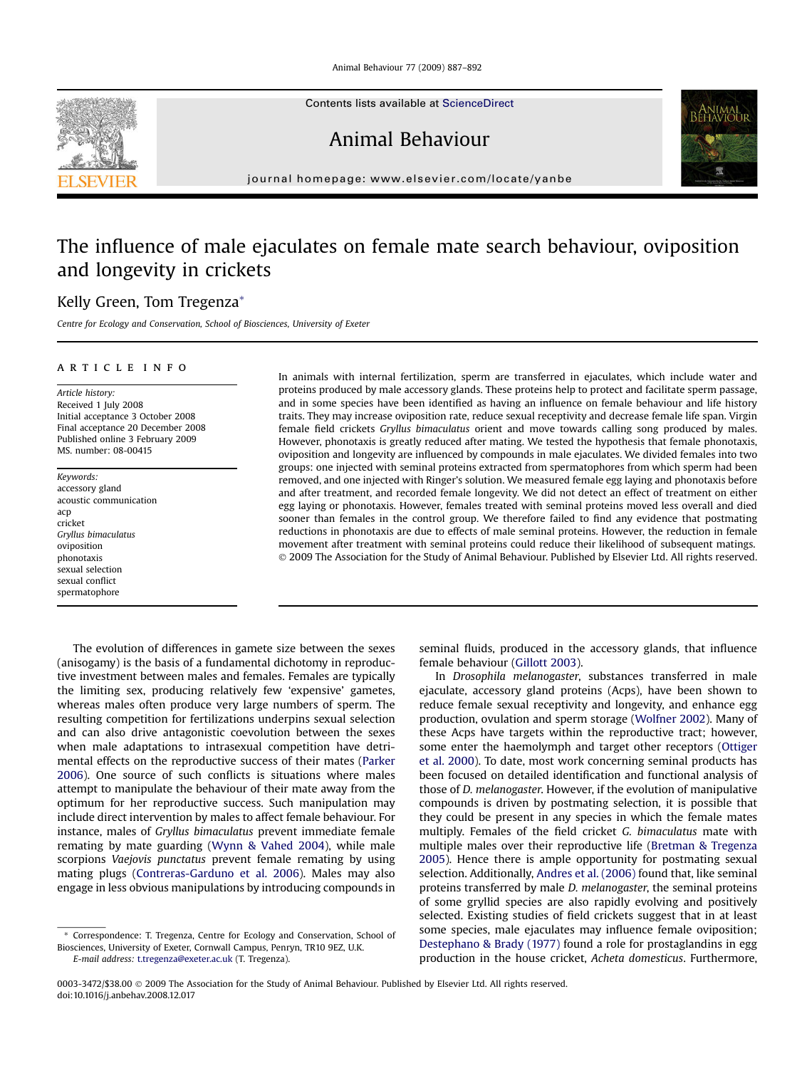Animal Behaviour 77 (2009) 887–892



Contents lists available at [ScienceDirect](www.sciencedirect.com/science/journal/00033472)

Animal Behaviour



journal homepage: [www.elsevier.com/locate/yanbe](http://www.elsevier.com/locate/yanbe)

# The influence of male ejaculates on female mate search behaviour, oviposition and longevity in crickets

# Kelly Green, Tom Tregenza\*

Centre for Ecology and Conservation, School of Biosciences, University of Exeter

# article info

Article history: Received 1 July 2008 Initial acceptance 3 October 2008 Final acceptance 20 December 2008 Published online 3 February 2009 MS. number: 08-00415

Keywords: accessory gland acoustic communication acp cricket Gryllus bimaculatus oviposition phonotaxis sexual selection sexual conflict spermatophore

In animals with internal fertilization, sperm are transferred in ejaculates, which include water and proteins produced by male accessory glands. These proteins help to protect and facilitate sperm passage, and in some species have been identified as having an influence on female behaviour and life history traits. They may increase oviposition rate, reduce sexual receptivity and decrease female life span. Virgin female field crickets Gryllus bimaculatus orient and move towards calling song produced by males. However, phonotaxis is greatly reduced after mating. We tested the hypothesis that female phonotaxis, oviposition and longevity are influenced by compounds in male ejaculates. We divided females into two groups: one injected with seminal proteins extracted from spermatophores from which sperm had been removed, and one injected with Ringer's solution. We measured female egg laying and phonotaxis before and after treatment, and recorded female longevity. We did not detect an effect of treatment on either egg laying or phonotaxis. However, females treated with seminal proteins moved less overall and died sooner than females in the control group. We therefore failed to find any evidence that postmating reductions in phonotaxis are due to effects of male seminal proteins. However, the reduction in female movement after treatment with seminal proteins could reduce their likelihood of subsequent matings. - 2009 The Association for the Study of Animal Behaviour. Published by Elsevier Ltd. All rights reserved.

The evolution of differences in gamete size between the sexes (anisogamy) is the basis of a fundamental dichotomy in reproductive investment between males and females. Females are typically the limiting sex, producing relatively few 'expensive' gametes, whereas males often produce very large numbers of sperm. The resulting competition for fertilizations underpins sexual selection and can also drive antagonistic coevolution between the sexes when male adaptations to intrasexual competition have detrimental effects on the reproductive success of their mates [\(Parker](#page-5-0) [2006\)](#page-5-0). One source of such conflicts is situations where males attempt to manipulate the behaviour of their mate away from the optimum for her reproductive success. Such manipulation may include direct intervention by males to affect female behaviour. For instance, males of Gryllus bimaculatus prevent immediate female remating by mate guarding [\(Wynn & Vahed 2004](#page-5-0)), while male scorpions Vaejovis punctatus prevent female remating by using mating plugs [\(Contreras-Garduno et al. 2006](#page-5-0)). Males may also engage in less obvious manipulations by introducing compounds in

Correspondence: T. Tregenza, Centre for Ecology and Conservation, School of Biosciences, University of Exeter, Cornwall Campus, Penryn, TR10 9EZ, U.K. E-mail address: [t.tregenza@exeter.ac.uk](mailto:t.tregenza@exeter.ac.uk) (T. Tregenza).

seminal fluids, produced in the accessory glands, that influence female behaviour ([Gillott 2003](#page-5-0)).

In Drosophila melanogaster, substances transferred in male ejaculate, accessory gland proteins (Acps), have been shown to reduce female sexual receptivity and longevity, and enhance egg production, ovulation and sperm storage ([Wolfner 2002](#page-5-0)). Many of these Acps have targets within the reproductive tract; however, some enter the haemolymph and target other receptors [\(Ottiger](#page-5-0) [et al. 2000](#page-5-0)). To date, most work concerning seminal products has been focused on detailed identification and functional analysis of those of D. melanogaster. However, if the evolution of manipulative compounds is driven by postmating selection, it is possible that they could be present in any species in which the female mates multiply. Females of the field cricket G. bimaculatus mate with multiple males over their reproductive life ([Bretman & Tregenza](#page-5-0) [2005\)](#page-5-0). Hence there is ample opportunity for postmating sexual selection. Additionally, [Andres et al. \(2006\)](#page-5-0) found that, like seminal proteins transferred by male D. melanogaster, the seminal proteins of some gryllid species are also rapidly evolving and positively selected. Existing studies of field crickets suggest that in at least some species, male ejaculates may influence female oviposition; [Destephano & Brady \(1977\)](#page-5-0) found a role for prostaglandins in egg production in the house cricket, Acheta domesticus. Furthermore,

<sup>0003-3472/\$38.00 © 2009</sup> The Association for the Study of Animal Behaviour. Published by Elsevier Ltd. All rights reserved. doi:10.1016/j.anbehav.2008.12.017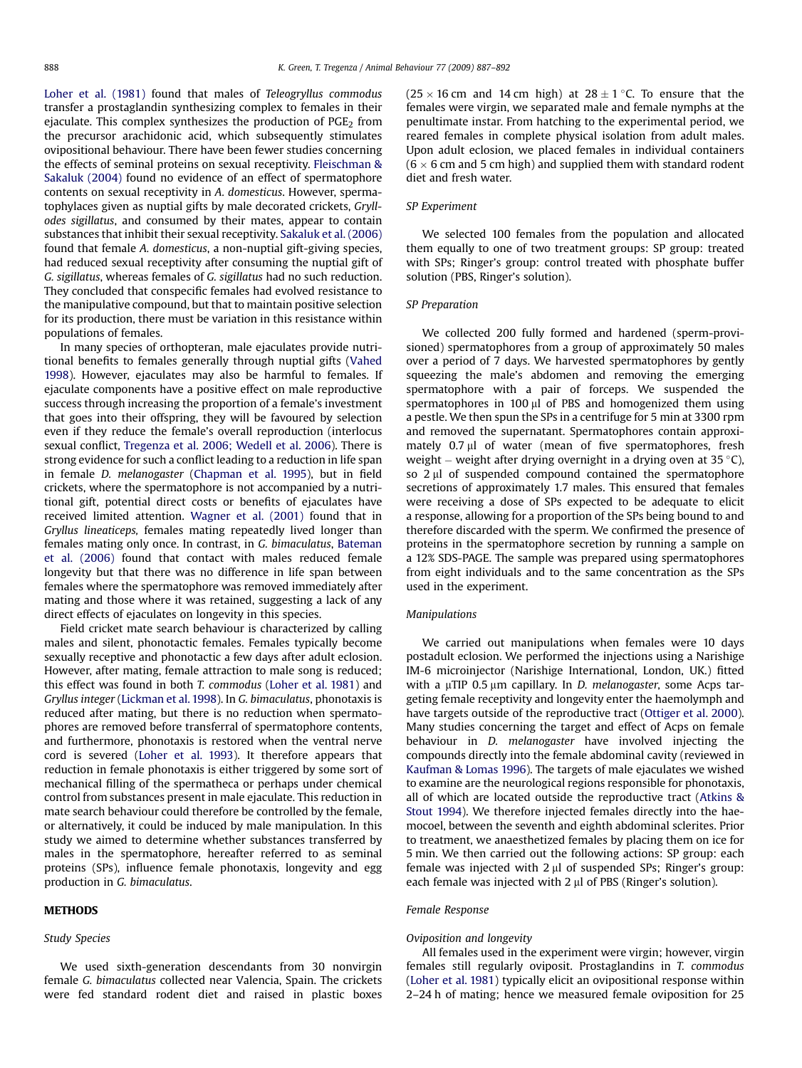[Loher et al. \(1981\)](#page-5-0) found that males of Teleogryllus commodus transfer a prostaglandin synthesizing complex to females in their ejaculate. This complex synthesizes the production of  $PGE<sub>2</sub>$  from the precursor arachidonic acid, which subsequently stimulates ovipositional behaviour. There have been fewer studies concerning the effects of seminal proteins on sexual receptivity. [Fleischman &](#page-5-0) [Sakaluk \(2004\)](#page-5-0) found no evidence of an effect of spermatophore contents on sexual receptivity in A. domesticus. However, spermatophylaces given as nuptial gifts by male decorated crickets, Gryllodes sigillatus, and consumed by their mates, appear to contain substances that inhibit their sexual receptivity. [Sakaluk et al. \(2006\)](#page-5-0) found that female A. domesticus, a non-nuptial gift-giving species, had reduced sexual receptivity after consuming the nuptial gift of G. sigillatus, whereas females of G. sigillatus had no such reduction. They concluded that conspecific females had evolved resistance to the manipulative compound, but that to maintain positive selection for its production, there must be variation in this resistance within populations of females.

In many species of orthopteran, male ejaculates provide nutritional benefits to females generally through nuptial gifts ([Vahed](#page-5-0) [1998](#page-5-0)). However, ejaculates may also be harmful to females. If ejaculate components have a positive effect on male reproductive success through increasing the proportion of a female's investment that goes into their offspring, they will be favoured by selection even if they reduce the female's overall reproduction (interlocus sexual conflict, [Tregenza et al. 2006; Wedell et al. 2006\)](#page-5-0). There is strong evidence for such a conflict leading to a reduction in life span in female D. melanogaster [\(Chapman et al. 1995\)](#page-5-0), but in field crickets, where the spermatophore is not accompanied by a nutritional gift, potential direct costs or benefits of ejaculates have received limited attention. [Wagner et al. \(2001\)](#page-5-0) found that in Gryllus lineaticeps, females mating repeatedly lived longer than females mating only once. In contrast, in G. bimaculatus, [Bateman](#page-5-0) [et al. \(2006\)](#page-5-0) found that contact with males reduced female longevity but that there was no difference in life span between females where the spermatophore was removed immediately after mating and those where it was retained, suggesting a lack of any direct effects of ejaculates on longevity in this species.

Field cricket mate search behaviour is characterized by calling males and silent, phonotactic females. Females typically become sexually receptive and phonotactic a few days after adult eclosion. However, after mating, female attraction to male song is reduced; this effect was found in both T. commodus [\(Loher et al. 1981\)](#page-5-0) and Gryllus integer [\(Lickman et al. 1998\)](#page-5-0). In G. bimaculatus, phonotaxis is reduced after mating, but there is no reduction when spermatophores are removed before transferral of spermatophore contents, and furthermore, phonotaxis is restored when the ventral nerve cord is severed [\(Loher et al. 1993](#page-5-0)). It therefore appears that reduction in female phonotaxis is either triggered by some sort of mechanical filling of the spermatheca or perhaps under chemical control from substances present in male ejaculate. This reduction in mate search behaviour could therefore be controlled by the female, or alternatively, it could be induced by male manipulation. In this study we aimed to determine whether substances transferred by males in the spermatophore, hereafter referred to as seminal proteins (SPs), influence female phonotaxis, longevity and egg production in G. bimaculatus.

#### METHODS

# Study Species

We used sixth-generation descendants from 30 nonvirgin female G. bimaculatus collected near Valencia, Spain. The crickets were fed standard rodent diet and raised in plastic boxes  $(25 \times 16 \text{ cm}$  and 14 cm high) at  $28 \pm 1 \degree$ C. To ensure that the females were virgin, we separated male and female nymphs at the penultimate instar. From hatching to the experimental period, we reared females in complete physical isolation from adult males. Upon adult eclosion, we placed females in individual containers (6  $\times$  6 cm and 5 cm high) and supplied them with standard rodent diet and fresh water.

# SP Experiment

We selected 100 females from the population and allocated them equally to one of two treatment groups: SP group: treated with SPs; Ringer's group: control treated with phosphate buffer solution (PBS, Ringer's solution).

#### SP Preparation

We collected 200 fully formed and hardened (sperm-provisioned) spermatophores from a group of approximately 50 males over a period of 7 days. We harvested spermatophores by gently squeezing the male's abdomen and removing the emerging spermatophore with a pair of forceps. We suspended the spermatophores in 100  $\mu$ l of PBS and homogenized them using a pestle. We then spun the SPs in a centrifuge for 5 min at 3300 rpm and removed the supernatant. Spermatophores contain approximately  $0.7 \mu l$  of water (mean of five spermatophores, fresh weight – weight after drying overnight in a drying oven at  $35^{\circ}$ C), so  $2 \mu l$  of suspended compound contained the spermatophore secretions of approximately 1.7 males. This ensured that females were receiving a dose of SPs expected to be adequate to elicit a response, allowing for a proportion of the SPs being bound to and therefore discarded with the sperm. We confirmed the presence of proteins in the spermatophore secretion by running a sample on a 12% SDS-PAGE. The sample was prepared using spermatophores from eight individuals and to the same concentration as the SPs used in the experiment.

#### Manipulations

We carried out manipulations when females were 10 days postadult eclosion. We performed the injections using a Narishige IM-6 microinjector (Narishige International, London, UK.) fitted with a  $\mu$ TIP 0.5  $\mu$ m capillary. In *D. melanogaster*, some Acps targeting female receptivity and longevity enter the haemolymph and have targets outside of the reproductive tract ([Ottiger et al. 2000\)](#page-5-0). Many studies concerning the target and effect of Acps on female behaviour in D. melanogaster have involved injecting the compounds directly into the female abdominal cavity (reviewed in [Kaufman & Lomas 1996\)](#page-5-0). The targets of male ejaculates we wished to examine are the neurological regions responsible for phonotaxis, all of which are located outside the reproductive tract ([Atkins &](#page-5-0) [Stout 1994](#page-5-0)). We therefore injected females directly into the haemocoel, between the seventh and eighth abdominal sclerites. Prior to treatment, we anaesthetized females by placing them on ice for 5 min. We then carried out the following actions: SP group: each female was injected with  $2 \mu l$  of suspended SPs; Ringer's group: each female was injected with  $2 \mu$  of PBS (Ringer's solution).

#### Female Response

#### Oviposition and longevity

All females used in the experiment were virgin; however, virgin females still regularly oviposit. Prostaglandins in T. commodus ([Loher et al. 1981](#page-5-0)) typically elicit an ovipositional response within 2–24 h of mating; hence we measured female oviposition for 25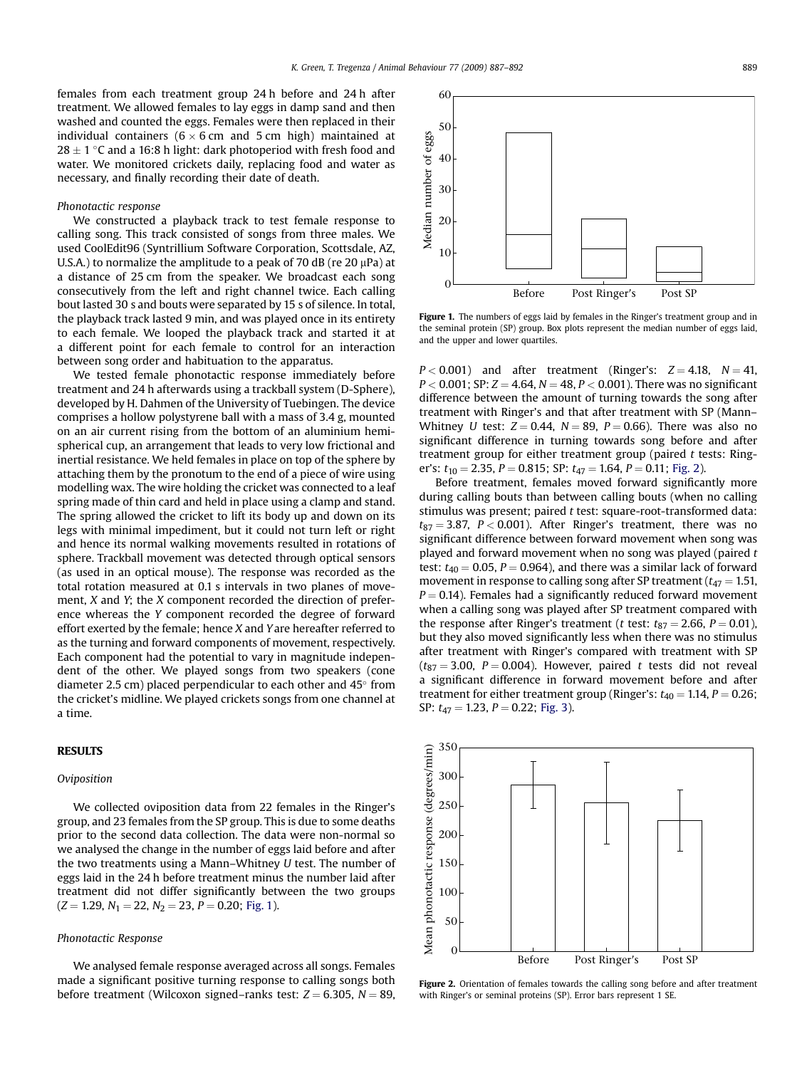females from each treatment group 24 h before and 24 h after treatment. We allowed females to lay eggs in damp sand and then washed and counted the eggs. Females were then replaced in their individual containers (6  $\times$  6 cm and 5 cm high) maintained at  $28 \pm 1$  °C and a 16:8 h light: dark photoperiod with fresh food and water. We monitored crickets daily, replacing food and water as necessary, and finally recording their date of death.

# Phonotactic response

We constructed a playback track to test female response to calling song. This track consisted of songs from three males. We used CoolEdit96 (Syntrillium Software Corporation, Scottsdale, AZ, U.S.A.) to normalize the amplitude to a peak of 70 dB (re  $20 \mu Pa$ ) at a distance of 25 cm from the speaker. We broadcast each song consecutively from the left and right channel twice. Each calling bout lasted 30 s and bouts were separated by 15 s of silence. In total, the playback track lasted 9 min, and was played once in its entirety to each female. We looped the playback track and started it at a different point for each female to control for an interaction between song order and habituation to the apparatus.

We tested female phonotactic response immediately before treatment and 24 h afterwards using a trackball system (D-Sphere), developed by H. Dahmen of the University of Tuebingen. The device comprises a hollow polystyrene ball with a mass of 3.4 g, mounted on an air current rising from the bottom of an aluminium hemispherical cup, an arrangement that leads to very low frictional and inertial resistance. We held females in place on top of the sphere by attaching them by the pronotum to the end of a piece of wire using modelling wax. The wire holding the cricket was connected to a leaf spring made of thin card and held in place using a clamp and stand. The spring allowed the cricket to lift its body up and down on its legs with minimal impediment, but it could not turn left or right and hence its normal walking movements resulted in rotations of sphere. Trackball movement was detected through optical sensors (as used in an optical mouse). The response was recorded as the total rotation measured at 0.1 s intervals in two planes of movement, X and Y; the X component recorded the direction of preference whereas the Y component recorded the degree of forward effort exerted by the female; hence X and Y are hereafter referred to as the turning and forward components of movement, respectively. Each component had the potential to vary in magnitude independent of the other. We played songs from two speakers (cone diameter 2.5 cm) placed perpendicular to each other and  $45^{\circ}$  from the cricket's midline. We played crickets songs from one channel at a time.

#### RESULTS

# Oviposition

We collected oviposition data from 22 females in the Ringer's group, and 23 females from the SP group. This is due to some deaths prior to the second data collection. The data were non-normal so we analysed the change in the number of eggs laid before and after the two treatments using a Mann–Whitney U test. The number of eggs laid in the 24 h before treatment minus the number laid after treatment did not differ significantly between the two groups  $(Z = 1.29, N_1 = 22, N_2 = 23, P = 0.20; Fig. 1).$ 

# Phonotactic Response

We analysed female response averaged across all songs. Females made a significant positive turning response to calling songs both before treatment (Wilcoxon signed–ranks test:  $Z = 6.305$ ,  $N = 89$ ,



Figure 1. The numbers of eggs laid by females in the Ringer's treatment group and in the seminal protein (SP) group. Box plots represent the median number of eggs laid, and the upper and lower quartiles.

 $P < 0.001$ ) and after treatment (Ringer's:  $Z = 4.18$ ,  $N = 41$ ,  $P < 0.001$ ; SP:  $Z = 4.64$ ,  $N = 48$ ,  $P < 0.001$ ). There was no significant difference between the amount of turning towards the song after treatment with Ringer's and that after treatment with SP (Mann– Whitney U test:  $Z = 0.44$ ,  $N = 89$ ,  $P = 0.66$ ). There was also no significant difference in turning towards song before and after treatment group for either treatment group (paired  $t$  tests: Ringer's:  $t_{10} = 2.35$ ,  $P = 0.815$ ; SP:  $t_{47} = 1.64$ ,  $P = 0.11$ ; Fig. 2).

Before treatment, females moved forward significantly more during calling bouts than between calling bouts (when no calling stimulus was present; paired t test: square-root-transformed data:  $t_{87} = 3.87$ , P < 0.001). After Ringer's treatment, there was no significant difference between forward movement when song was played and forward movement when no song was played (paired  $t$ test:  $t_{40} = 0.05$ ,  $P = 0.964$ ), and there was a similar lack of forward movement in response to calling song after SP treatment ( $t_{47} = 1.51$ ,  $P = 0.14$ ). Females had a significantly reduced forward movement when a calling song was played after SP treatment compared with the response after Ringer's treatment (*t* test:  $t_{87} = 2.66$ ,  $P = 0.01$ ), but they also moved significantly less when there was no stimulus after treatment with Ringer's compared with treatment with SP  $(t_{87} = 3.00, P = 0.004)$ . However, paired t tests did not reveal a significant difference in forward movement before and after treatment for either treatment group (Ringer's:  $t_{40} = 1.14$ ,  $P = 0.26$ ; SP:  $t_{47} = 1.23$ ,  $P = 0.22$ ; [Fig. 3\)](#page-3-0).



Figure 2. Orientation of females towards the calling song before and after treatment with Ringer's or seminal proteins (SP). Error bars represent 1 SE.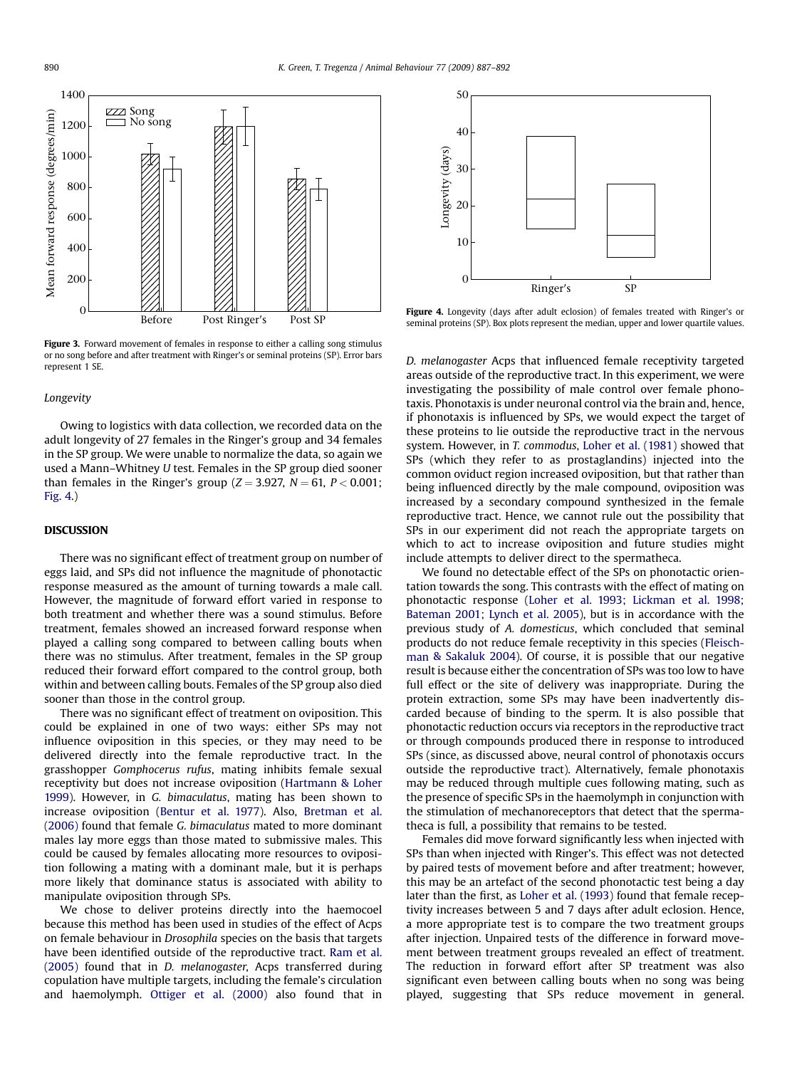<span id="page-3-0"></span>

Figure 3. Forward movement of females in response to either a calling song stimulus or no song before and after treatment with Ringer's or seminal proteins (SP). Error bars represent 1 SE.

### Longevity

Owing to logistics with data collection, we recorded data on the adult longevity of 27 females in the Ringer's group and 34 females in the SP group. We were unable to normalize the data, so again we used a Mann–Whitney U test. Females in the SP group died sooner than females in the Ringer's group  $(Z = 3.927, N = 61, P < 0.001;$ Fig. 4.)

# DISCUSSION

There was no significant effect of treatment group on number of eggs laid, and SPs did not influence the magnitude of phonotactic response measured as the amount of turning towards a male call. However, the magnitude of forward effort varied in response to both treatment and whether there was a sound stimulus. Before treatment, females showed an increased forward response when played a calling song compared to between calling bouts when there was no stimulus. After treatment, females in the SP group reduced their forward effort compared to the control group, both within and between calling bouts. Females of the SP group also died sooner than those in the control group.

There was no significant effect of treatment on oviposition. This could be explained in one of two ways: either SPs may not influence oviposition in this species, or they may need to be delivered directly into the female reproductive tract. In the grasshopper Gomphocerus rufus, mating inhibits female sexual receptivity but does not increase oviposition ([Hartmann & Loher](#page-5-0) [1999](#page-5-0)). However, in G. bimaculatus, mating has been shown to increase oviposition [\(Bentur et al. 1977\)](#page-5-0). Also, [Bretman et al.](#page-5-0) [\(2006\)](#page-5-0) found that female G. bimaculatus mated to more dominant males lay more eggs than those mated to submissive males. This could be caused by females allocating more resources to oviposition following a mating with a dominant male, but it is perhaps more likely that dominance status is associated with ability to manipulate oviposition through SPs.

We chose to deliver proteins directly into the haemocoel because this method has been used in studies of the effect of Acps on female behaviour in Drosophila species on the basis that targets have been identified outside of the reproductive tract. [Ram et al.](#page-5-0) [\(2005\)](#page-5-0) found that in D. melanogaster, Acps transferred during copulation have multiple targets, including the female's circulation and haemolymph. [Ottiger et al. \(2000\)](#page-5-0) also found that in



Figure 4. Longevity (days after adult eclosion) of females treated with Ringer's or seminal proteins (SP). Box plots represent the median, upper and lower quartile values.

D. melanogaster Acps that influenced female receptivity targeted areas outside of the reproductive tract. In this experiment, we were investigating the possibility of male control over female phonotaxis. Phonotaxis is under neuronal control via the brain and, hence, if phonotaxis is influenced by SPs, we would expect the target of these proteins to lie outside the reproductive tract in the nervous system. However, in T. commodus, [Loher et al. \(1981\)](#page-5-0) showed that SPs (which they refer to as prostaglandins) injected into the common oviduct region increased oviposition, but that rather than being influenced directly by the male compound, oviposition was increased by a secondary compound synthesized in the female reproductive tract. Hence, we cannot rule out the possibility that SPs in our experiment did not reach the appropriate targets on which to act to increase oviposition and future studies might include attempts to deliver direct to the spermatheca.

We found no detectable effect of the SPs on phonotactic orientation towards the song. This contrasts with the effect of mating on phonotactic response ([Loher et al. 1993; Lickman et al. 1998;](#page-5-0) [Bateman 2001; Lynch et al. 2005](#page-5-0)), but is in accordance with the previous study of A. domesticus, which concluded that seminal products do not reduce female receptivity in this species ([Fleisch](#page-5-0)man & [Sakaluk](#page-5-0) 2004). Of course, it is possible that our negative result is because either the concentration of SPs was too low to have full effect or the site of delivery was inappropriate. During the protein extraction, some SPs may have been inadvertently discarded because of binding to the sperm. It is also possible that phonotactic reduction occurs via receptors in the reproductive tract or through compounds produced there in response to introduced SPs (since, as discussed above, neural control of phonotaxis occurs outside the reproductive tract). Alternatively, female phonotaxis may be reduced through multiple cues following mating, such as the presence of specific SPs in the haemolymph in conjunction with the stimulation of mechanoreceptors that detect that the spermatheca is full, a possibility that remains to be tested.

Females did move forward significantly less when injected with SPs than when injected with Ringer's. This effect was not detected by paired tests of movement before and after treatment; however, this may be an artefact of the second phonotactic test being a day later than the first, as [Loher et al. \(1993\)](#page-5-0) found that female receptivity increases between 5 and 7 days after adult eclosion. Hence, a more appropriate test is to compare the two treatment groups after injection. Unpaired tests of the difference in forward movement between treatment groups revealed an effect of treatment. The reduction in forward effort after SP treatment was also significant even between calling bouts when no song was being played, suggesting that SPs reduce movement in general.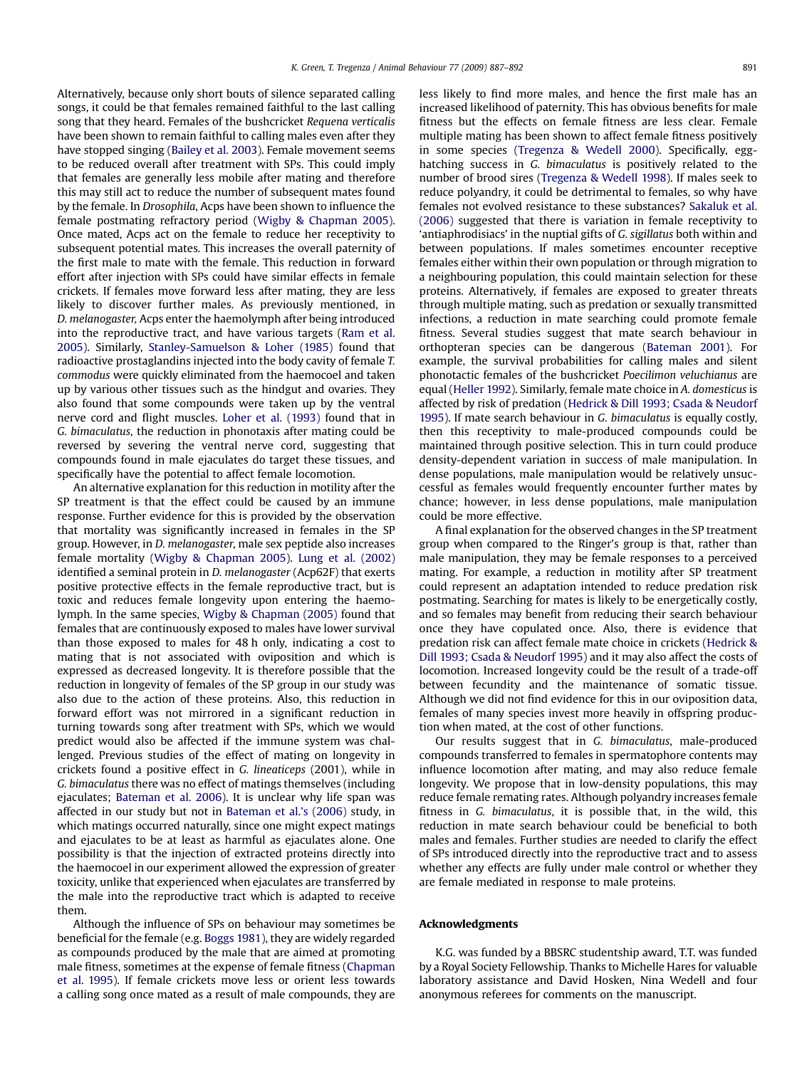Alternatively, because only short bouts of silence separated calling songs, it could be that females remained faithful to the last calling song that they heard. Females of the bushcricket Requena verticalis have been shown to remain faithful to calling males even after they have stopped singing [\(Bailey et al. 2003](#page-5-0)). Female movement seems to be reduced overall after treatment with SPs. This could imply that females are generally less mobile after mating and therefore this may still act to reduce the number of subsequent mates found by the female. In Drosophila, Acps have been shown to influence the female postmating refractory period [\(Wigby & Chapman 2005\)](#page-5-0). Once mated, Acps act on the female to reduce her receptivity to subsequent potential mates. This increases the overall paternity of the first male to mate with the female. This reduction in forward effort after injection with SPs could have similar effects in female crickets. If females move forward less after mating, they are less likely to discover further males. As previously mentioned, in D. melanogaster, Acps enter the haemolymph after being introduced into the reproductive tract, and have various targets ([Ram et al.](#page-5-0) [2005\)](#page-5-0). Similarly, [Stanley-Samuelson & Loher \(1985\)](#page-5-0) found that radioactive prostaglandins injected into the body cavity of female T. commodus were quickly eliminated from the haemocoel and taken up by various other tissues such as the hindgut and ovaries. They also found that some compounds were taken up by the ventral nerve cord and flight muscles. [Loher et al. \(1993\)](#page-5-0) found that in G. bimaculatus, the reduction in phonotaxis after mating could be reversed by severing the ventral nerve cord, suggesting that compounds found in male ejaculates do target these tissues, and specifically have the potential to affect female locomotion.

An alternative explanation for this reduction in motility after the SP treatment is that the effect could be caused by an immune response. Further evidence for this is provided by the observation that mortality was significantly increased in females in the SP group. However, in D. melanogaster, male sex peptide also increases female mortality ([Wigby & Chapman 2005](#page-5-0)). [Lung et al. \(2002\)](#page-5-0) identified a seminal protein in D. melanogaster (Acp62F) that exerts positive protective effects in the female reproductive tract, but is toxic and reduces female longevity upon entering the haemolymph. In the same species, [Wigby & Chapman \(2005\)](#page-5-0) found that females that are continuously exposed to males have lower survival than those exposed to males for 48 h only, indicating a cost to mating that is not associated with oviposition and which is expressed as decreased longevity. It is therefore possible that the reduction in longevity of females of the SP group in our study was also due to the action of these proteins. Also, this reduction in forward effort was not mirrored in a significant reduction in turning towards song after treatment with SPs, which we would predict would also be affected if the immune system was challenged. Previous studies of the effect of mating on longevity in crickets found a positive effect in G. lineaticeps (2001), while in G. bimaculatus there was no effect of matings themselves (including ejaculates; [Bateman et al. 2006\)](#page-5-0). It is unclear why life span was affected in our study but not in [Bateman et al.'s \(2006\)](#page-5-0) study, in which matings occurred naturally, since one might expect matings and ejaculates to be at least as harmful as ejaculates alone. One possibility is that the injection of extracted proteins directly into the haemocoel in our experiment allowed the expression of greater toxicity, unlike that experienced when ejaculates are transferred by the male into the reproductive tract which is adapted to receive them.

Although the influence of SPs on behaviour may sometimes be beneficial for the female (e.g. [Boggs 1981](#page-5-0)), they are widely regarded as compounds produced by the male that are aimed at promoting male fitness, sometimes at the expense of female fitness ([Chapman](#page-5-0) [et al. 1995](#page-5-0)). If female crickets move less or orient less towards a calling song once mated as a result of male compounds, they are less likely to find more males, and hence the first male has an increased likelihood of paternity. This has obvious benefits for male fitness but the effects on female fitness are less clear. Female multiple mating has been shown to affect female fitness positively in some species [\(Tregenza & Wedell 2000\)](#page-5-0). Specifically, egghatching success in G. bimaculatus is positively related to the number of brood sires [\(Tregenza & Wedell 1998\)](#page-5-0). If males seek to reduce polyandry, it could be detrimental to females, so why have females not evolved resistance to these substances? [Sakaluk et al.](#page-5-0) [\(2006\)](#page-5-0) suggested that there is variation in female receptivity to 'antiaphrodisiacs' in the nuptial gifts of G. sigillatus both within and between populations. If males sometimes encounter receptive females either within their own population or through migration to a neighbouring population, this could maintain selection for these proteins. Alternatively, if females are exposed to greater threats through multiple mating, such as predation or sexually transmitted infections, a reduction in mate searching could promote female fitness. Several studies suggest that mate search behaviour in orthopteran species can be dangerous ([Bateman 2001](#page-5-0)). For example, the survival probabilities for calling males and silent phonotactic females of the bushcricket Poecilimon veluchianus are equal ([Heller 1992\)](#page-5-0). Similarly, female mate choice in A. domesticus is affected by risk of predation [\(Hedrick & Dill 1993; Csada & Neudorf](#page-5-0) [1995\)](#page-5-0). If mate search behaviour in G. bimaculatus is equally costly, then this receptivity to male-produced compounds could be maintained through positive selection. This in turn could produce density-dependent variation in success of male manipulation. In dense populations, male manipulation would be relatively unsuccessful as females would frequently encounter further mates by chance; however, in less dense populations, male manipulation could be more effective.

A final explanation for the observed changes in the SP treatment group when compared to the Ringer's group is that, rather than male manipulation, they may be female responses to a perceived mating. For example, a reduction in motility after SP treatment could represent an adaptation intended to reduce predation risk postmating. Searching for mates is likely to be energetically costly, and so females may benefit from reducing their search behaviour once they have copulated once. Also, there is evidence that predation risk can affect female mate choice in crickets [\(Hedrick &](#page-5-0) [Dill 1993; Csada & Neudorf 1995](#page-5-0)) and it may also affect the costs of locomotion. Increased longevity could be the result of a trade-off between fecundity and the maintenance of somatic tissue. Although we did not find evidence for this in our oviposition data, females of many species invest more heavily in offspring production when mated, at the cost of other functions.

Our results suggest that in G. bimaculatus, male-produced compounds transferred to females in spermatophore contents may influence locomotion after mating, and may also reduce female longevity. We propose that in low-density populations, this may reduce female remating rates. Although polyandry increases female fitness in G. bimaculatus, it is possible that, in the wild, this reduction in mate search behaviour could be beneficial to both males and females. Further studies are needed to clarify the effect of SPs introduced directly into the reproductive tract and to assess whether any effects are fully under male control or whether they are female mediated in response to male proteins.

# Acknowledgments

K.G. was funded by a BBSRC studentship award, T.T. was funded by a Royal Society Fellowship. Thanks to Michelle Hares for valuable laboratory assistance and David Hosken, Nina Wedell and four anonymous referees for comments on the manuscript.